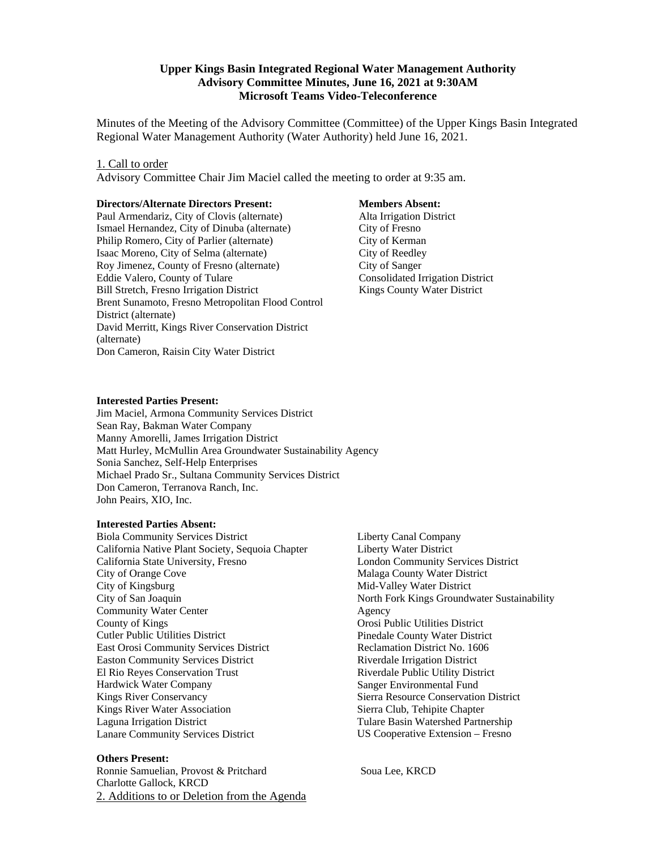### **Upper Kings Basin Integrated Regional Water Management Authority Advisory Committee Minutes, June 16, 2021 at 9:30AM Microsoft Teams Video-Teleconference**

Minutes of the Meeting of the Advisory Committee (Committee) of the Upper Kings Basin Integrated Regional Water Management Authority (Water Authority) held June 16, 2021.

#### 1. Call to order

Advisory Committee Chair Jim Maciel called the meeting to order at 9:35 am.

#### **Directors/Alternate Directors Present:**

Paul Armendariz, City of Clovis (alternate) Ismael Hernandez, City of Dinuba (alternate) Philip Romero, City of Parlier (alternate) Isaac Moreno, City of Selma (alternate) Roy Jimenez, County of Fresno (alternate) Eddie Valero, County of Tulare Bill Stretch, Fresno Irrigation District Brent Sunamoto, Fresno Metropolitan Flood Control District (alternate) David Merritt, Kings River Conservation District (alternate) Don Cameron, Raisin City Water District

#### **Members Absent:**

 Alta Irrigation District City of Fresno City of Kerman City of Reedley City of Sanger Consolidated Irrigation District Kings County Water District

#### **Interested Parties Present:**

Jim Maciel, Armona Community Services District Sean Ray, Bakman Water Company Manny Amorelli, James Irrigation District Matt Hurley, McMullin Area Groundwater Sustainability Agency Sonia Sanchez, Self-Help Enterprises Michael Prado Sr., Sultana Community Services District Don Cameron, Terranova Ranch, Inc. John Peairs, XIO, Inc.

#### **Interested Parties Absent:**

Biola Community Services District California Native Plant Society, Sequoia Chapter California State University, Fresno City of Orange Cove City of Kingsburg City of San Joaquin Community Water Center County of Kings Cutler Public Utilities District East Orosi Community Services District Easton Community Services District El Rio Reyes Conservation Trust Hardwick Water Company Kings River Conservancy Kings River Water Association Laguna Irrigation District Lanare Community Services District

#### **Others Present:**

Ronnie Samuelian, Provost & Pritchard Soua Lee, KRCD Charlotte Gallock, KRCD 2. Additions to or Deletion from the Agenda

Liberty Canal Company Liberty Water District London Community Services District Malaga County Water District Mid-Valley Water District North Fork Kings Groundwater Sustainability Agency Orosi Public Utilities District Pinedale County Water District Reclamation District No. 1606 Riverdale Irrigation District Riverdale Public Utility District Sanger Environmental Fund Sierra Resource Conservation District Sierra Club, Tehipite Chapter Tulare Basin Watershed Partnership US Cooperative Extension – Fresno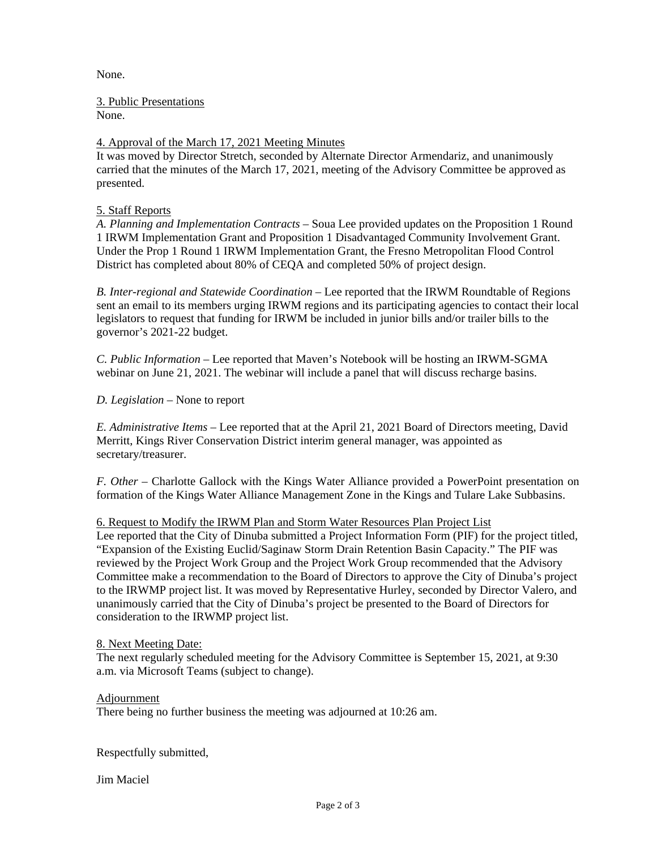None.

3. Public Presentations

None.

# 4. Approval of the March 17, 2021 Meeting Minutes

It was moved by Director Stretch, seconded by Alternate Director Armendariz, and unanimously carried that the minutes of the March 17, 2021, meeting of the Advisory Committee be approved as presented.

## 5. Staff Reports

*A. Planning and Implementation Contracts* – Soua Lee provided updates on the Proposition 1 Round 1 IRWM Implementation Grant and Proposition 1 Disadvantaged Community Involvement Grant. Under the Prop 1 Round 1 IRWM Implementation Grant, the Fresno Metropolitan Flood Control District has completed about 80% of CEQA and completed 50% of project design.

*B. Inter-regional and Statewide Coordination* – Lee reported that the IRWM Roundtable of Regions sent an email to its members urging IRWM regions and its participating agencies to contact their local legislators to request that funding for IRWM be included in junior bills and/or trailer bills to the governor's 2021-22 budget.

*C. Public Information –* Lee reported that Maven's Notebook will be hosting an IRWM-SGMA webinar on June 21, 2021. The webinar will include a panel that will discuss recharge basins.

*D. Legislation –* None to report

*E. Administrative Items –* Lee reported that at the April 21, 2021 Board of Directors meeting, David Merritt, Kings River Conservation District interim general manager, was appointed as secretary/treasurer.

*F. Other –* Charlotte Gallock with the Kings Water Alliance provided a PowerPoint presentation on formation of the Kings Water Alliance Management Zone in the Kings and Tulare Lake Subbasins.

### 6. Request to Modify the IRWM Plan and Storm Water Resources Plan Project List

Lee reported that the City of Dinuba submitted a Project Information Form (PIF) for the project titled, "Expansion of the Existing Euclid/Saginaw Storm Drain Retention Basin Capacity." The PIF was reviewed by the Project Work Group and the Project Work Group recommended that the Advisory Committee make a recommendation to the Board of Directors to approve the City of Dinuba's project to the IRWMP project list. It was moved by Representative Hurley, seconded by Director Valero, and unanimously carried that the City of Dinuba's project be presented to the Board of Directors for consideration to the IRWMP project list.

### 8. Next Meeting Date:

The next regularly scheduled meeting for the Advisory Committee is September 15, 2021, at 9:30 a.m. via Microsoft Teams (subject to change).

### Adjournment

There being no further business the meeting was adjourned at 10:26 am.

Respectfully submitted,

Jim Maciel